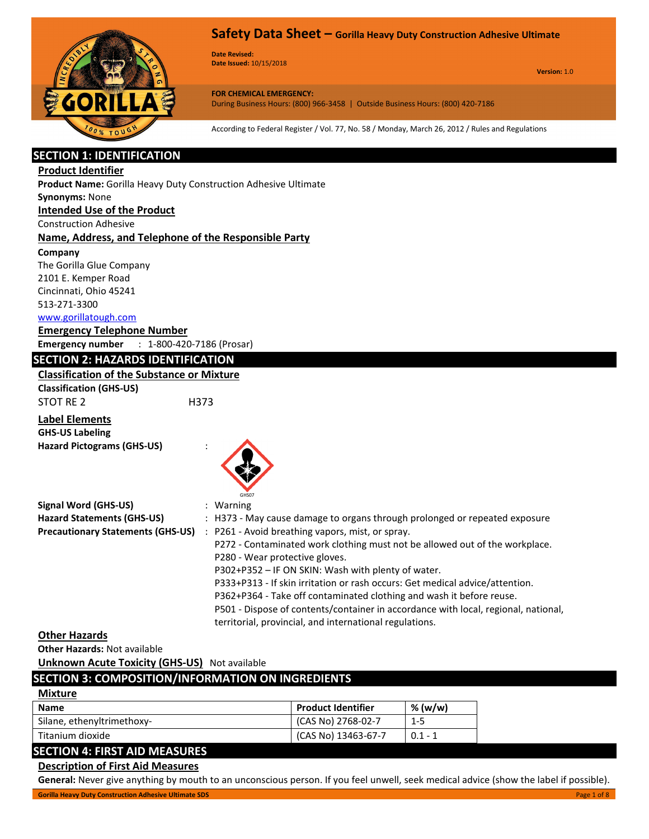

**Date Revised: Date Issued:** 10/15/2018

**Version:** 1.0

**FOR CHEMICAL EMERGENCY:** During Business Hours: (800) 966-3458 | Outside Business Hours: (800) 420-7186

According to Federal Register / Vol. 77, No. 58 / Monday, March 26, 2012 / Rules and Regulations

# **SECTION 1: IDENTIFICATION**

#### **Product Identifier**

**Product Name:** Gorilla Heavy Duty Construction Adhesive Ultimate

# **Synonyms:** None

# **Intended Use of the Product**

Construction Adhesive

#### **Name, Address, and Telephone of the Responsible Party**

#### **Company**

The Gorilla Glue Company 2101 E. Kemper Road Cincinnati, Ohio 45241 513-271-3300

#### www.gorillatough.com

**Emergency Telephone Number Emergency number** : 1-800-420-7186 (Prosar)

## **SECTION 2: HAZARDS IDENTIFICATION**

#### **Classification of the Substance or Mixture**

**Classification (GHS-US)** STOT RE 2 H373

# **Label Elements GHS-US Labeling**

**Hazard Pictograms (GHS-US)** :



| Signal Word (GHS-US)                     | $:$ Warning                                                                        |
|------------------------------------------|------------------------------------------------------------------------------------|
| <b>Hazard Statements (GHS-US)</b>        | : H373 - May cause damage to organs through prolonged or repeated exposure         |
| <b>Precautionary Statements (GHS-US)</b> | : P261 - Avoid breathing vapors, mist, or spray.                                   |
|                                          | P272 - Contaminated work clothing must not be allowed out of the workplace.        |
|                                          | P280 - Wear protective gloves.                                                     |
|                                          | P302+P352 – IF ON SKIN: Wash with plenty of water.                                 |
|                                          | P333+P313 - If skin irritation or rash occurs: Get medical advice/attention.       |
|                                          | P362+P364 - Take off contaminated clothing and wash it before reuse.               |
|                                          | P501 - Dispose of contents/container in accordance with local, regional, national, |
|                                          | territorial, provincial, and international regulations.                            |

#### **Other Hazards**

**Other Hazards:** Not available

#### **Unknown Acute Toxicity (GHS-US)** Not available

#### **SECTION 3: COMPOSITION/INFORMATION ON INGREDIENTS**

| <b>Mixture</b>                 |                           |           |
|--------------------------------|---------------------------|-----------|
| Name                           | <b>Product Identifier</b> | % (w/w)   |
| Silane, ethenyltrimethoxy-     | (CAS No) 2768-02-7        | $1 - 5$   |
| Titanium dioxide               | (CAS No) 13463-67-7       | $0.1 - 1$ |
| CECTION A. FIDET AID MEACHINES |                           |           |

# **SECTION 4: FIRST AID MEASURES**

# **Description of First Aid Measures**

**General:** Never give anything by mouth to an unconscious person. If you feel unwell, seek medical advice (show the label if possible).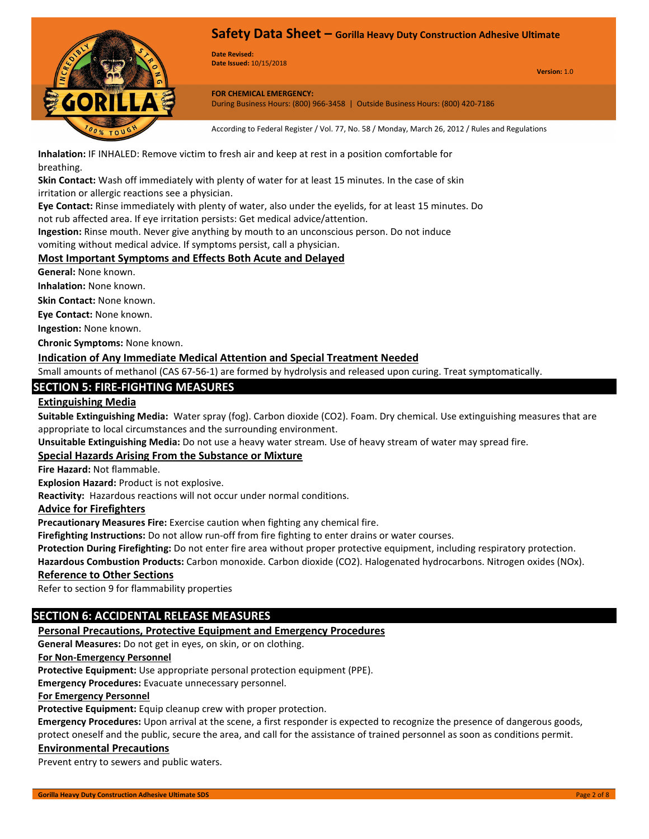

**Date Revised: Date Issued:** 10/15/2018

**Version:** 1.0

**FOR CHEMICAL EMERGENCY:** During Business Hours: (800) 966-3458 | Outside Business Hours: (800) 420-7186

According to Federal Register / Vol. 77, No. 58 / Monday, March 26, 2012 / Rules and Regulations

**Inhalation:** IF INHALED: Remove victim to fresh air and keep at rest in a position comfortable for breathing.

**Skin Contact:** Wash off immediately with plenty of water for at least 15 minutes. In the case of skin irritation or allergic reactions see a physician.

**Eye Contact:** Rinse immediately with plenty of water, also under the eyelids, for at least 15 minutes. Do not rub affected area. If eye irritation persists: Get medical advice/attention.

**Ingestion:** Rinse mouth. Never give anything by mouth to an unconscious person. Do not induce

vomiting without medical advice. If symptoms persist, call a physician.

## **Most Important Symptoms and Effects Both Acute and Delayed**

**General:** None known.

**Inhalation:** None known.

**Skin Contact:** None known.

**Eye Contact:** None known.

**Ingestion:** None known.

**Chronic Symptoms:** None known.

#### **Indication of Any Immediate Medical Attention and Special Treatment Needed**

Small amounts of methanol (CAS 67-56-1) are formed by hydrolysis and released upon curing. Treat symptomatically.

# **SECTION 5: FIRE-FIGHTING MEASURES**

# **Extinguishing Media**

**Suitable Extinguishing Media:** Water spray (fog). Carbon dioxide (CO2). Foam. Dry chemical. Use extinguishing measures that are appropriate to local circumstances and the surrounding environment.

**Unsuitable Extinguishing Media:** Do not use a heavy water stream. Use of heavy stream of water may spread fire.

#### **Special Hazards Arising From the Substance or Mixture**

**Fire Hazard:** Not flammable.

**Explosion Hazard:** Product is not explosive.

**Reactivity:** Hazardous reactions will not occur under normal conditions.

#### **Advice for Firefighters**

**Precautionary Measures Fire:** Exercise caution when fighting any chemical fire.

**Firefighting Instructions:** Do not allow run-off from fire fighting to enter drains or water courses.

**Protection During Firefighting:** Do not enter fire area without proper protective equipment, including respiratory protection.

**Hazardous Combustion Products:** Carbon monoxide. Carbon dioxide (CO2). Halogenated hydrocarbons. Nitrogen oxides (NOx).

#### **Reference to Other Sections**

Refer to section 9 for flammability properties

#### **SECTION 6: ACCIDENTAL RELEASE MEASURES**

#### **Personal Precautions, Protective Equipment and Emergency Procedures**

**General Measures:** Do not get in eyes, on skin, or on clothing.

#### **For Non-Emergency Personnel**

**Protective Equipment:** Use appropriate personal protection equipment (PPE).

**Emergency Procedures:** Evacuate unnecessary personnel.

#### **For Emergency Personnel**

**Protective Equipment:** Equip cleanup crew with proper protection.

**Emergency Procedures:** Upon arrival at the scene, a first responder is expected to recognize the presence of dangerous goods, protect oneself and the public, secure the area, and call for the assistance of trained personnel as soon as conditions permit.

#### **Environmental Precautions**

Prevent entry to sewers and public waters.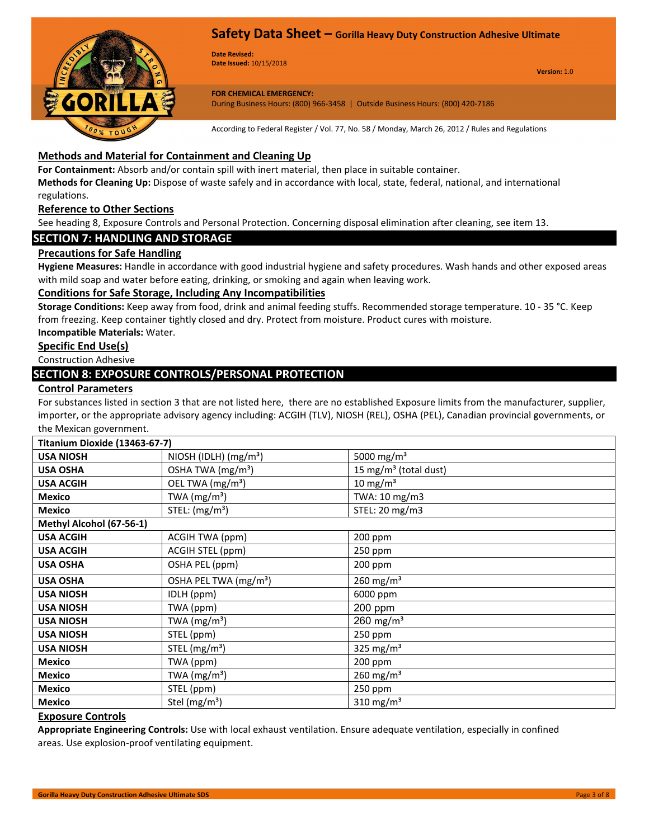

**Date Revised: Date Issued:** 10/15/2018

**Version:** 1.0

# **FOR CHEMICAL EMERGENCY:**

During Business Hours: (800) 966-3458 | Outside Business Hours: (800) 420-7186

According to Federal Register / Vol. 77, No. 58 / Monday, March 26, 2012 / Rules and Regulations

# **Methods and Material for Containment and Cleaning Up**

**For Containment:** Absorb and/or contain spill with inert material, then place in suitable container.

**Methods for Cleaning Up:** Dispose of waste safely and in accordance with local, state, federal, national, and international regulations.

#### **Reference to Other Sections**

See heading 8, Exposure Controls and Personal Protection. Concerning disposal elimination after cleaning, see item 13.

# **SECTION 7: HANDLING AND STORAGE**

#### **Precautions for Safe Handling**

**Hygiene Measures:** Handle in accordance with good industrial hygiene and safety procedures. Wash hands and other exposed areas with mild soap and water before eating, drinking, or smoking and again when leaving work.

#### **Conditions for Safe Storage, Including Any Incompatibilities**

**Storage Conditions:** Keep away from food, drink and animal feeding stuffs. Recommended storage temperature. 10 - 35 °C. Keep from freezing. Keep container tightly closed and dry. Protect from moisture. Product cures with moisture.

# **Incompatible Materials:** Water.

**Specific End Use(s)**

Construction Adhesive

# **SECTION 8: EXPOSURE CONTROLS/PERSONAL PROTECTION**

#### **Control Parameters**

For substances listed in section 3 that are not listed here, there are no established Exposure limits from the manufacturer, supplier, importer, or the appropriate advisory agency including: ACGIH (TLV), NIOSH (REL), OSHA (PEL), Canadian provincial governments, or the Mexican government.

| Titanium Dioxide (13463-67-7) |                                   |                                   |  |  |  |
|-------------------------------|-----------------------------------|-----------------------------------|--|--|--|
| <b>USA NIOSH</b>              | NIOSH (IDLH) $(mg/m3)$            | 5000 mg/m <sup>3</sup>            |  |  |  |
| <b>USA OSHA</b>               | OSHA TWA (mg/m <sup>3</sup> )     | 15 mg/m <sup>3</sup> (total dust) |  |  |  |
| <b>USA ACGIH</b>              | OEL TWA (mg/m <sup>3</sup> )      | $10 \text{ mg/m}^3$               |  |  |  |
| <b>Mexico</b>                 | TWA $(mg/m3)$                     | TWA: 10 mg/m3                     |  |  |  |
| <b>Mexico</b>                 | STEL: (mg/m <sup>3</sup> )        | STEL: 20 mg/m3                    |  |  |  |
| Methyl Alcohol (67-56-1)      |                                   |                                   |  |  |  |
| <b>USA ACGIH</b>              | ACGIH TWA (ppm)                   | 200 ppm                           |  |  |  |
| <b>USA ACGIH</b>              | ACGIH STEL (ppm)                  | 250 ppm                           |  |  |  |
| <b>USA OSHA</b>               | OSHA PEL (ppm)                    | 200 ppm                           |  |  |  |
| <b>USA OSHA</b>               | OSHA PEL TWA (mg/m <sup>3</sup> ) | $260$ mg/m <sup>3</sup>           |  |  |  |
| <b>USA NIOSH</b>              | IDLH (ppm)                        | 6000 ppm                          |  |  |  |
| <b>USA NIOSH</b>              | TWA (ppm)                         | $200$ ppm                         |  |  |  |
| <b>USA NIOSH</b>              | TWA $(mg/m3)$                     | $260 \text{ mg/m}^3$              |  |  |  |
| <b>USA NIOSH</b>              | STEL (ppm)                        | $250$ ppm                         |  |  |  |
| <b>USA NIOSH</b>              | STEL $(mg/m3)$                    | 325 mg/ $m3$                      |  |  |  |
| <b>Mexico</b>                 | TWA (ppm)                         | 200 ppm                           |  |  |  |
| <b>Mexico</b>                 | TWA $(mg/m3)$                     | $260$ mg/m <sup>3</sup>           |  |  |  |
| <b>Mexico</b>                 | STEL (ppm)                        | 250 ppm                           |  |  |  |
| <b>Mexico</b>                 | Stel (mg/m <sup>3</sup> )         | 310 mg/m $3$                      |  |  |  |

#### **Exposure Controls**

**Appropriate Engineering Controls:** Use with local exhaust ventilation. Ensure adequate ventilation, especially in confined areas. Use explosion-proof ventilating equipment.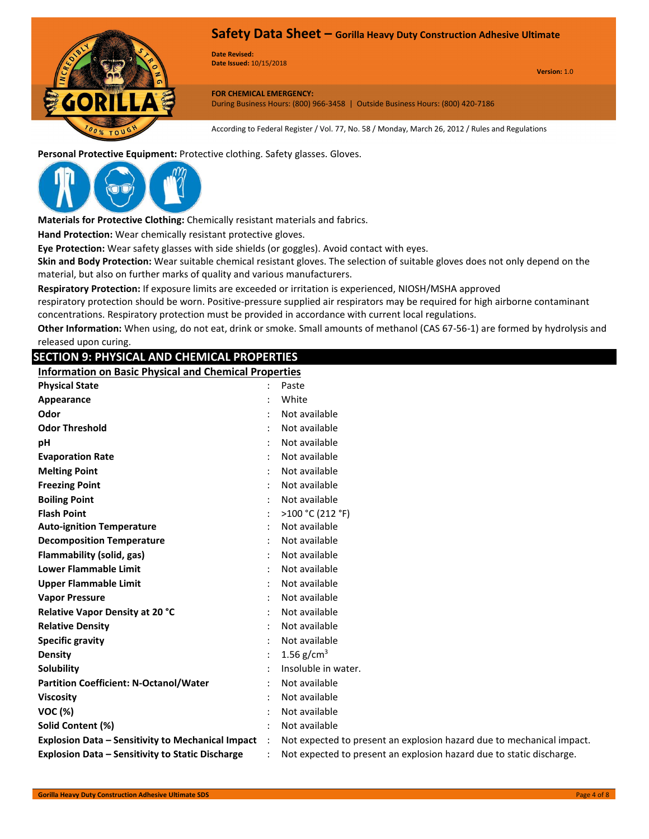

**Date Revised: Date Issued:** 10/15/2018

**Version:** 1.0

**FOR CHEMICAL EMERGENCY:** During Business Hours: (800) 966-3458 | Outside Business Hours: (800) 420-7186

According to Federal Register / Vol. 77, No. 58 / Monday, March 26, 2012 / Rules and Regulations

**Personal Protective Equipment:** Protective clothing. Safety glasses. Gloves.



**Materials for Protective Clothing:** Chemically resistant materials and fabrics.

**Hand Protection:** Wear chemically resistant protective gloves.

**Eye Protection:** Wear safety glasses with side shields (or goggles). Avoid contact with eyes.

**Skin and Body Protection:** Wear suitable chemical resistant gloves. The selection of suitable gloves does not only depend on the material, but also on further marks of quality and various manufacturers.

**Respiratory Protection:** If exposure limits are exceeded or irritation is experienced, NIOSH/MSHA approved

respiratory protection should be worn. Positive-pressure supplied air respirators may be required for high airborne contaminant concentrations. Respiratory protection must be provided in accordance with current local regulations.

**Other Information:** When using, do not eat, drink or smoke. Small amounts of methanol (CAS 67-56-1) are formed by hydrolysis and released upon curing.

## **SECTION 9: PHYSICAL AND CHEMICAL PROPERTIES**

**Information on Basic Physical and Chemical Properties**

| <b>Physical State</b>                                    |                      | Paste                                                                 |
|----------------------------------------------------------|----------------------|-----------------------------------------------------------------------|
| Appearance                                               |                      | White                                                                 |
| Odor                                                     |                      | Not available                                                         |
| <b>Odor Threshold</b>                                    |                      | Not available                                                         |
| pH                                                       |                      | Not available                                                         |
| <b>Evaporation Rate</b>                                  |                      | Not available                                                         |
| <b>Melting Point</b>                                     |                      | Not available                                                         |
| <b>Freezing Point</b>                                    |                      | Not available                                                         |
| <b>Boiling Point</b>                                     |                      | Not available                                                         |
| <b>Flash Point</b>                                       |                      | >100 °C (212 °F)                                                      |
| <b>Auto-ignition Temperature</b>                         |                      | Not available                                                         |
| <b>Decomposition Temperature</b>                         |                      | Not available                                                         |
| Flammability (solid, gas)                                |                      | Not available                                                         |
| <b>Lower Flammable Limit</b>                             |                      | Not available                                                         |
| <b>Upper Flammable Limit</b>                             |                      | Not available                                                         |
| <b>Vapor Pressure</b>                                    |                      | Not available                                                         |
| Relative Vapor Density at 20 °C                          |                      | Not available                                                         |
| <b>Relative Density</b>                                  |                      | Not available                                                         |
| <b>Specific gravity</b>                                  |                      | Not available                                                         |
| <b>Density</b>                                           |                      | 1.56 $g/cm^{3}$                                                       |
| <b>Solubility</b>                                        |                      | Insoluble in water.                                                   |
| <b>Partition Coefficient: N-Octanol/Water</b>            |                      | Not available                                                         |
| <b>Viscosity</b>                                         |                      | Not available                                                         |
| <b>VOC (%)</b>                                           |                      | Not available                                                         |
| Solid Content (%)                                        |                      | Not available                                                         |
| <b>Explosion Data - Sensitivity to Mechanical Impact</b> | $\ddot{\phantom{a}}$ | Not expected to present an explosion hazard due to mechanical impact. |
| <b>Explosion Data - Sensitivity to Static Discharge</b>  |                      | Not expected to present an explosion hazard due to static discharge.  |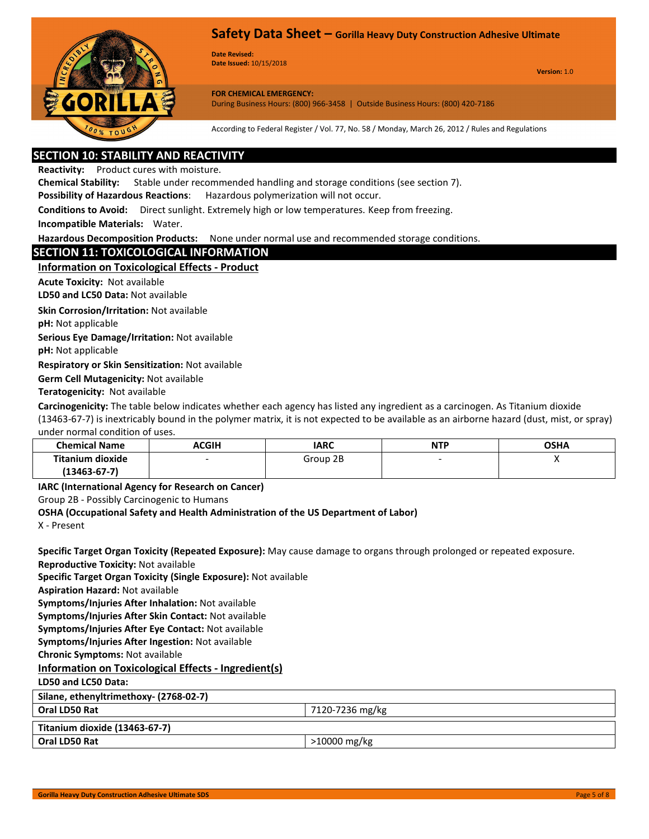

**Date Revised: Date Issued:** 10/15/2018

**Version:** 1.0

**FOR CHEMICAL EMERGENCY:** During Business Hours: (800) 966-3458 | Outside Business Hours: (800) 420-7186

According to Federal Register / Vol. 77, No. 58 / Monday, March 26, 2012 / Rules and Regulations

# **SECTION 10: STABILITY AND REACTIVITY**

**Reactivity:** Product cures with moisture.

**Chemical Stability:** Stable under recommended handling and storage conditions (see section 7).

**Possibility of Hazardous Reactions**:Hazardous polymerization will not occur.

**Conditions to Avoid:** Direct sunlight. Extremely high or low temperatures. Keep from freezing.

**Incompatible Materials:** Water.

**Hazardous Decomposition Products:** None under normal use and recommended storage conditions.

#### **SECTION 11: TOXICOLOGICAL INFORMATION**

**Information on Toxicological Effects - Product**

**Acute Toxicity:** Not available

**LD50 and LC50 Data:** Not available

**Skin Corrosion/Irritation:** Not available

**pH:** Not applicable

**Serious Eye Damage/Irritation:** Not available

**pH:** Not applicable

**Respiratory or Skin Sensitization:** Not available

**Germ Cell Mutagenicity:** Not available

**Teratogenicity:** Not available

**Carcinogenicity:** The table below indicates whether each agency has listed any ingredient as a carcinogen. As Titanium dioxide (13463-67-7) is inextricably bound in the polymer matrix, it is not expected to be available as an airborne hazard (dust, mist, or spray) under normal condition of uses.

| <b>Chemical Name</b> | ACGIH | <b>IARC</b> | <b>NTP</b> | <b>OSHA</b> |
|----------------------|-------|-------------|------------|-------------|
| Titanium dioxide     |       | Group 2B    |            |             |
| $(13463 - 67 - 7)$   |       |             |            |             |

**IARC (International Agency for Research on Cancer)**

Group 2B - Possibly Carcinogenic to Humans

#### **OSHA (Occupational Safety and Health Administration of the US Department of Labor)**

X - Present

**Specific Target Organ Toxicity (Repeated Exposure):** May cause damage to organs through prolonged or repeated exposure. **Reproductive Toxicity:** Not available **Specific Target Organ Toxicity (Single Exposure):** Not available **Aspiration Hazard:** Not available **Symptoms/Injuries After Inhalation:** Not available **Symptoms/Injuries After Skin Contact:** Not available **Symptoms/Injuries After Eye Contact:** Not available **Symptoms/Injuries After Ingestion:** Not available **Chronic Symptoms:** Not available **Information on Toxicological Effects - Ingredient(s) LD50 and LC50 Data: Silane, ethenyltrimethoxy- (2768-02-7) Oral LD50 Rat** 7120-7236 mg/kg **Titanium dioxide (13463-67-7) Oral LD50 Rat**  $\vert$  >10000 mg/kg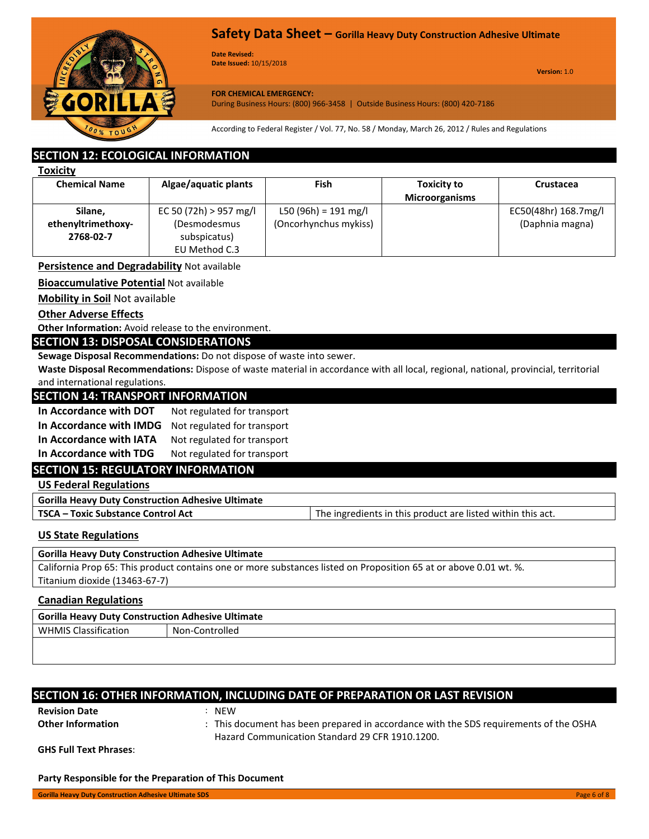

**Date Revised: Date Issued:** 10/15/2018

**Version:** 1.0

#### **FOR CHEMICAL EMERGENCY:**

During Business Hours: (800) 966-3458 | Outside Business Hours: (800) 420-7186

According to Federal Register / Vol. 77, No. 58 / Monday, March 26, 2012 / Rules and Regulations

# **SECTION 12: ECOLOGICAL INFORMATION**

| m<br>r |  |
|--------|--|
|        |  |
|        |  |

| <b>Chemical Name</b><br>Algae/aquatic plants |                        | Fish                  | <b>Toxicity to</b>    | <b>Crustacea</b>     |
|----------------------------------------------|------------------------|-----------------------|-----------------------|----------------------|
|                                              |                        |                       | <b>Microorganisms</b> |                      |
| Silane,                                      | EC 50 (72h) > 957 mg/l | L50 (96h) = 191 mg/l  |                       | EC50(48hr) 168.7mg/l |
| ethenyltrimethoxy-                           | (Desmodesmus           | (Oncorhynchus mykiss) |                       | (Daphnia magna)      |
| 2768-02-7                                    | subspicatus)           |                       |                       |                      |
|                                              | EU Method C.3          |                       |                       |                      |

**Persistence and Degradability** Not available

**Bioaccumulative Potential** Not available

**Mobility in Soil** Not available

**Other Adverse Effects**

**Other Information:** Avoid release to the environment.

## **SECTION 13: DISPOSAL CONSIDERATIONS**

**Sewage Disposal Recommendations:** Do not dispose of waste into sewer.

**Waste Disposal Recommendations:** Dispose of waste material in accordance with all local, regional, national, provincial, territorial and international regulations.

|  |  |  |  | <b>SECTION 14: TRANSPORT INFORMATION</b> |  |
|--|--|--|--|------------------------------------------|--|
|  |  |  |  |                                          |  |

**In Accordance with DOT** Not regulated for transport

In Accordance with IMDG Not regulated for transport

In Accordance with IATA Not regulated for transport

In Accordance with TDG Not regulated for transport

#### **SECTION 15: REGULATORY INFORMATION**

**US Federal Regulations**

**Gorilla Heavy Duty Construction Adhesive Ultimate**

**TSCA – Toxic Substance Control Act** The ingredients in this product are listed within this act.

# **US State Regulations**

#### **Gorilla Heavy Duty Construction Adhesive Ultimate**

California Prop 65: This product contains one or more substances listed on Proposition 65 at or above 0.01 wt. %. Titanium dioxide (13463-67-7)

#### **Canadian Regulations**

| Gorilla Heavy Duty Construction Adhesive Ultimate |  |  |  |
|---------------------------------------------------|--|--|--|
| Non-Controlled                                    |  |  |  |
|                                                   |  |  |  |
|                                                   |  |  |  |

# **SECTION 16: OTHER INFORMATION, INCLUDING DATE OF PREPARATION OR LAST REVISION**

**Revision Date** : NEW

**Other Information** : This document has been prepared in accordance with the SDS requirements of the OSHA Hazard Communication Standard 29 CFR 1910.1200.

**GHS Full Text Phrases**:

**Party Responsible for the Preparation of This Document**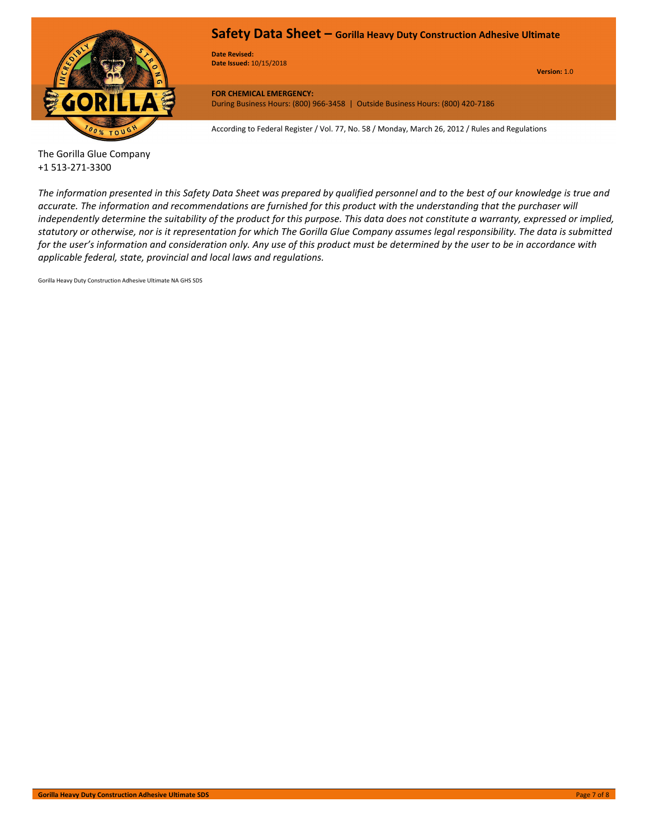

**Date Revised: Date Issued:** 10/15/2018

**Version:** 1.0

**FOR CHEMICAL EMERGENCY:** During Business Hours: (800) 966-3458 | Outside Business Hours: (800) 420-7186

According to Federal Register / Vol. 77, No. 58 / Monday, March 26, 2012 / Rules and Regulations

#### The Gorilla Glue Company +1 513-271-3300

*The information presented in this Safety Data Sheet was prepared by qualified personnel and to the best of our knowledge is true and accurate. The information and recommendations are furnished for this product with the understanding that the purchaser will independently determine the suitability of the product for this purpose. This data does not constitute a warranty, expressed or implied, statutory or otherwise, nor is it representation for which The Gorilla Glue Company assumes legal responsibility. The data is submitted for the user's information and consideration only. Any use of this product must be determined by the user to be in accordance with applicable federal, state, provincial and local laws and regulations.*

Gorilla Heavy Duty Construction Adhesive Ultimate NA GHS SDS